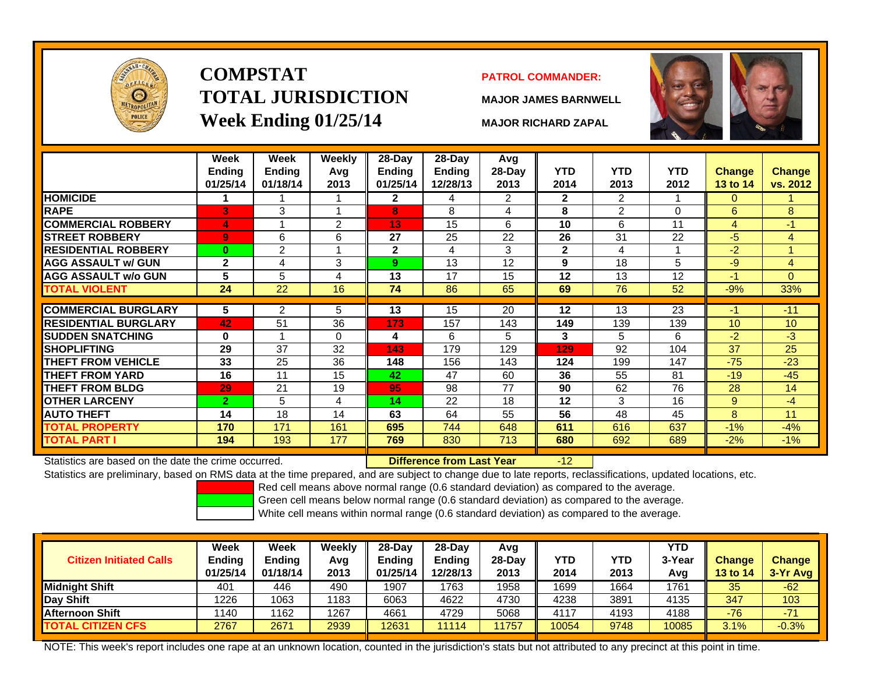

### **COMPSTATTOTAL JURISDICTIONWeek Ending 01/25/14 MAJOR RICHARD ZAPAL**

### **PATROL COMMANDER:**

**MAJOR JAMES BARNWELL**

-12



|                              | Week<br><b>Ending</b><br>01/25/14 | Week<br><b>Ending</b><br>01/18/14 | Weekly<br>Avg<br>2013 | 28-Day<br><b>Ending</b><br>01/25/14 | $28$ -Day<br><b>Ending</b><br>12/28/13 | Avg<br>28-Day<br>2013 | <b>YTD</b><br>2014 | <b>YTD</b><br>2013 | <b>YTD</b><br>2012 | <b>Change</b><br>13 to 14 | <b>Change</b><br>vs. 2012 |
|------------------------------|-----------------------------------|-----------------------------------|-----------------------|-------------------------------------|----------------------------------------|-----------------------|--------------------|--------------------|--------------------|---------------------------|---------------------------|
| <b>HOMICIDE</b>              |                                   |                                   | $\overline{1}$        | $\mathbf{2}$                        | 4                                      | 2                     | $\mathbf{2}$       | 2                  |                    | $\mathbf{0}$              |                           |
| <b>RAPE</b>                  | 3                                 | 3                                 | 1                     | 8                                   | 8                                      | 4                     | 8                  | $\overline{2}$     | $\Omega$           | 6                         | 8 <sup>°</sup>            |
| <b>COMMERCIAL ROBBERY</b>    | 4                                 |                                   | 2                     | 13                                  | 15                                     | 6                     | 10                 | 6                  | 11                 | $\overline{4}$            | $-1$                      |
| <b>ISTREET ROBBERY</b>       | $\overline{9}$                    | 6                                 | 6                     | 27                                  | 25                                     | 22                    | 26                 | 31                 | 22                 | $-5$                      | $\overline{4}$            |
| <b>IRESIDENTIAL ROBBERY</b>  | $\bf{0}$                          | 2                                 | 4                     | $\mathbf{2}$                        | 4                                      | 3                     | $\mathbf{2}$       | 4                  |                    | $-2$                      |                           |
| <b>AGG ASSAULT w/ GUN</b>    | $\mathbf{2}$                      | 4                                 | 3                     | 9                                   | 13                                     | 12                    | 9                  | 18                 | 5                  | -9                        | 4                         |
| <b>AGG ASSAULT w/o GUN</b>   | 5                                 | 5                                 | 4                     | 13                                  | 17                                     | 15                    | 12                 | 13                 | 12                 | $-1$                      | $\Omega$                  |
| <b>TOTAL VIOLENT</b>         | 24                                | 22                                | 16                    | 74                                  | 86                                     | 65                    | 69                 | 76                 | 52                 | $-9%$                     | 33%                       |
|                              |                                   |                                   |                       |                                     |                                        |                       |                    |                    |                    |                           |                           |
| <b>COMMERCIAL BURGLARY</b>   | 5                                 | $\overline{2}$                    | 5                     | 13                                  | 15                                     | 20                    | 12                 | 13                 | 23                 | $-1$                      | $-11$                     |
| <b>IRESIDENTIAL BURGLARY</b> | 42                                | 51                                | 36                    | 173                                 | 157                                    | 143                   | 149                | 139                | 139                | 10                        | 10                        |
| <b>SUDDEN SNATCHING</b>      | $\bf{0}$                          |                                   | $\Omega$              | 4                                   | 6                                      | 5                     | 3                  | 5                  | 6                  | $-2$                      | $-3$                      |
| <b>SHOPLIFTING</b>           | 29                                | 37                                | 32                    | 143                                 | 179                                    | 129                   | 129                | 92                 | 104                | 37                        | 25                        |
| <b>THEFT FROM VEHICLE</b>    | 33                                | 25                                | 36                    | 148                                 | 156                                    | 143                   | 124                | 199                | 147                | $-75$                     | $-23$                     |
| <b>THEFT FROM YARD</b>       | 16                                | 11                                | 15                    | 42                                  | 47                                     | 60                    | 36                 | 55                 | 81                 | $-19$                     | $-45$                     |
| <b>THEFT FROM BLDG</b>       | 29                                | 21                                | 19                    | 95                                  | 98                                     | 77                    | 90                 | 62                 | 76                 | 28                        | 14                        |
| <b>OTHER LARCENY</b>         | $\overline{2}$                    | 5                                 | 4                     | 14                                  | 22                                     | 18                    | 12                 | 3                  | 16                 | 9                         | -4                        |
| <b>AUTO THEFT</b>            | 14                                | 18                                | 14                    | 63                                  | 64                                     | 55                    | 56                 | 48                 | 45                 | 8                         | 11                        |
| <b>TOTAL PROPERTY</b>        | 170                               | 171                               | 161                   | 695                                 | 744                                    | 648                   | 611                | 616                | 637                | $-1%$                     | $-4%$                     |
| <b>TOTAL PART I</b>          | 194                               | 193                               | 177                   | 769                                 | 830                                    | 713                   | 680                | 692                | 689                | $-2%$                     | $-1%$                     |

Statistics are based on the date the crime occurred. **Difference from Last Year** 

Statistics are preliminary, based on RMS data at the time prepared, and are subject to change due to late reports, reclassifications, updated locations, etc.

Red cell means above normal range (0.6 standard deviation) as compared to the average.

Green cell means below normal range (0.6 standard deviation) as compared to the average.

White cell means within normal range (0.6 standard deviation) as compared to the average.

| <b>Citizen Initiated Calls</b> | <b>Week</b><br><b>Ending</b><br>01/25/14 | Week<br><b>Ending</b><br>01/18/14 | Weekly<br>Avg<br>2013 | $28-Dav$<br>Ending<br>01/25/14 | $28-Dav$<br><b>Endina</b><br>12/28/13 | Avg<br>28-Day<br>2013 | YTD<br>2014 | YTD<br>2013 | <b>YTD</b><br>3-Yea<br>Ava | <b>Change</b><br>13 to 14 | <b>Change</b><br>3-Yr Avg |
|--------------------------------|------------------------------------------|-----------------------------------|-----------------------|--------------------------------|---------------------------------------|-----------------------|-------------|-------------|----------------------------|---------------------------|---------------------------|
| Midnight Shift                 | 40٬                                      | 446                               | 490                   | 1907                           | 763                                   | 1958                  | 1699        | 1664        | 1761                       | 35                        | $-62$                     |
| Day Shift                      | 1226                                     | 1063                              | 1183                  | 6063                           | 4622                                  | 4730                  | 4238        | 3891        | 4135                       | 347                       | 103                       |
| <b>Afternoon Shift</b>         | 140                                      | 162                               | 1267                  | 4661                           | 4729                                  | 5068                  | 4117        | 4193        | 4188                       | -76                       | $-71$                     |
| <b>TOTAL CITIZEN CFS</b>       | 2767                                     | 2671                              | 2939                  | 12631                          | 11114                                 | 1757                  | 10054       | 9748        | 10085                      | 3.1%                      | $-0.3%$                   |

NOTE: This week's report includes one rape at an unknown location, counted in the jurisdiction's stats but not attributed to any precinct at this point in time.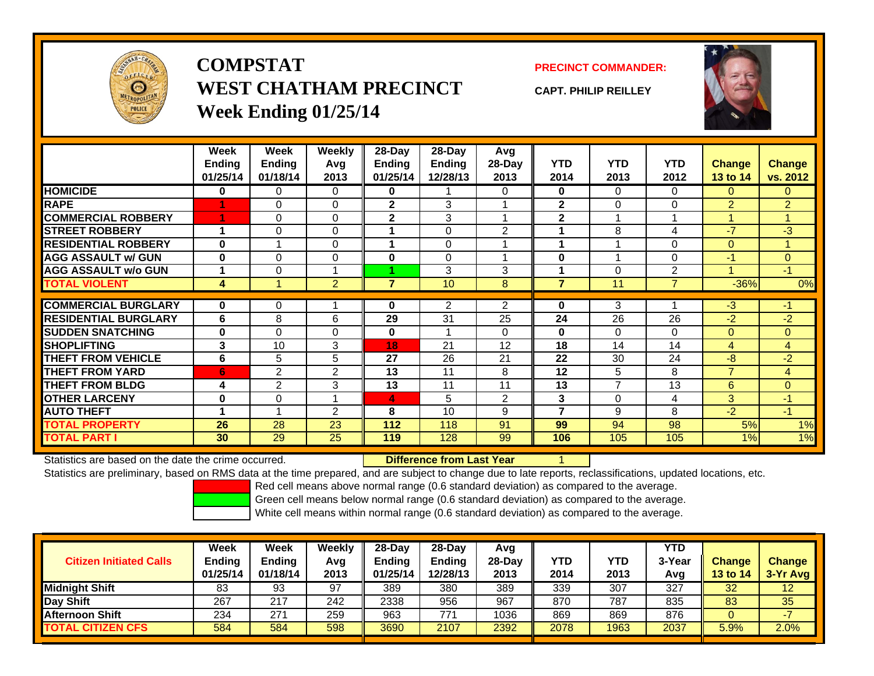

## **COMPSTATWEST CHATHAM PRECINCTWeek Ending 01/25/14**

### **PRECINCT COMMANDER:**

**CAPT. PHILIP REILLEY**



|                             | Week<br><b>Ending</b><br>01/25/14 | Week<br><b>Ending</b><br>01/18/14 | <b>Weekly</b><br>Avq<br>2013 | 28-Day<br><b>Ending</b><br>01/25/14 | 28-Day<br>Ending<br>12/28/13 | Avg<br>$28-Day$<br>2013 | <b>YTD</b><br>2014 | <b>YTD</b><br>2013 | <b>YTD</b><br>2012 | <b>Change</b><br><b>13 to 14</b> | <b>Change</b><br>vs. 2012 |
|-----------------------------|-----------------------------------|-----------------------------------|------------------------------|-------------------------------------|------------------------------|-------------------------|--------------------|--------------------|--------------------|----------------------------------|---------------------------|
| <b>HOMICIDE</b>             | 0                                 | 0                                 | 0                            | 0                                   |                              | $\Omega$                | 0                  | $\Omega$           | 0                  | $\Omega$                         | $\Omega$                  |
| <b>RAPE</b>                 |                                   | 0                                 | $\Omega$                     | $\mathbf{2}$                        | 3                            |                         | $\mathbf{2}$       | $\Omega$           | 0                  | 2                                | $\overline{2}$            |
| <b>COMMERCIAL ROBBERY</b>   |                                   | 0                                 | $\Omega$                     | $\mathbf{2}$                        | 3                            |                         | $\overline{2}$     | 1                  |                    |                                  | $\overline{A}$            |
| <b>STREET ROBBERY</b>       | 1                                 | 0                                 | 0                            |                                     | 0                            | 2                       |                    | 8                  | 4                  | -7                               | $-3$                      |
| <b>RESIDENTIAL ROBBERY</b>  | $\bf{0}$                          |                                   | $\Omega$                     |                                     | $\Omega$                     |                         |                    |                    | 0                  | $\Omega$                         |                           |
| <b>AGG ASSAULT w/ GUN</b>   | 0                                 | 0                                 | $\Omega$                     | $\bf{0}$                            | 0                            |                         | 0                  | 1                  | 0                  | $-1$                             | $\Omega$                  |
| <b>AGG ASSAULT w/o GUN</b>  | 1                                 | 0                                 |                              |                                     | 3                            | 3                       |                    | 0                  | $\overline{2}$     |                                  | $-1$                      |
| <b>TOTAL VIOLENT</b>        | 4                                 |                                   | $\overline{2}$               | $\overline{7}$                      | 10                           | 8                       | 7                  | 11                 | 7                  | $-36%$                           | $0\%$                     |
|                             |                                   |                                   |                              |                                     |                              |                         |                    |                    |                    |                                  |                           |
| <b>COMMERCIAL BURGLARY</b>  | $\mathbf 0$                       | 0                                 |                              | 0                                   | $\overline{2}$               | $\overline{2}$          | 0                  | 3                  |                    | $-3$                             | $-1$                      |
| <b>RESIDENTIAL BURGLARY</b> | 6                                 | 8                                 | 6                            | 29                                  | 31                           | 25                      | 24                 | 26                 | 26                 | -2                               | $-2$                      |
| <b>ISUDDEN SNATCHING</b>    | 0                                 | 0                                 | $\Omega$                     | $\bf{0}$                            | 1                            | $\Omega$                | 0                  | $\Omega$           | 0                  | $\Omega$                         | $\overline{0}$            |
| <b>SHOPLIFTING</b>          | 3                                 | 10                                | 3                            | 18                                  | 21                           | 12                      | 18                 | 14                 | 14                 | 4                                | 4                         |
| <b>THEFT FROM VEHICLE</b>   | 6                                 | 5                                 | 5                            | 27                                  | 26                           | 21                      | 22                 | 30                 | 24                 | -8                               | $-2$                      |
| <b>THEFT FROM YARD</b>      | 6                                 | $\overline{2}$                    | $\overline{2}$               | 13                                  | 11                           | 8                       | 12                 | 5                  | 8                  | $\overline{ }$                   | 4                         |
| <b>THEFT FROM BLDG</b>      | 4                                 | $\overline{2}$                    | 3                            | 13                                  | 11                           | 11                      | 13                 | $\overline{7}$     | 13                 | 6                                | $\Omega$                  |
| <b>OTHER LARCENY</b>        | 0                                 | 0                                 |                              | 4                                   | 5                            | $\overline{2}$          | 3                  | 0                  | 4                  | 3                                | $-1$                      |
| <b>AUTO THEFT</b>           | 1                                 |                                   | $\overline{2}$               | 8                                   | 10                           | 9                       | 7                  | 9                  | 8                  | $-2$                             | $-1$                      |
| <b>TOTAL PROPERTY</b>       | 26                                | 28                                | 23                           | 112                                 | 118                          | 91                      | 99                 | 94                 | 98                 | 5%                               | 1%                        |
| <b>TOTAL PART I</b>         | 30                                | 29                                | 25                           | 119                                 | 128                          | 99                      | 106                | 105                | 105                | 1%                               | 1%                        |

Statistics are based on the date the crime occurred.

**Difference from Last Year** 

Statistics are preliminary, based on RMS data at the time prepared, and are subject to change due to late reports, reclassifications, updated locations, etc.

Red cell means above normal range (0.6 standard deviation) as compared to the average.

Green cell means below normal range (0.6 standard deviation) as compared to the average.

| <b>Citizen Initiated Calls</b> | Week<br><b>Ending</b><br>01/25/14 | Week<br><b>Ending</b><br>01/18/14 | Weekly<br>Avg<br>2013 | $28-Day$<br><b>Ending</b><br>01/25/14 | 28-Day<br><b>Ending</b><br>12/28/13 | Avg<br>28-Dav<br>2013 | YTD<br>2014 | YTD<br>2013 | YTD<br>3-Year<br>Avg | <b>Change</b><br>13 to 14 | <b>Change</b><br>3-Yr Avg |
|--------------------------------|-----------------------------------|-----------------------------------|-----------------------|---------------------------------------|-------------------------------------|-----------------------|-------------|-------------|----------------------|---------------------------|---------------------------|
| <b>Midnight Shift</b>          | 83                                | 93                                | 97                    | 389                                   | 380                                 | 389                   | 339         | 307         | 327                  | 32                        | 12                        |
| Day Shift                      | 267                               | 217                               | 242                   | 2338                                  | 956                                 | 967                   | 870         | 787         | 835                  | 83                        | 35                        |
| <b>Afternoon Shift</b>         | 234                               | 271                               | 259                   | 963                                   | 771                                 | 1036                  | 869         | 869         | 876                  |                           |                           |
| <b>TOTAL CITIZEN CFS</b>       | 584                               | 584                               | 598                   | 3690                                  | 2107                                | 2392                  | 2078        | 1963        | 2037                 | 5.9%                      | 2.0%                      |
|                                |                                   |                                   |                       |                                       |                                     |                       |             |             |                      |                           |                           |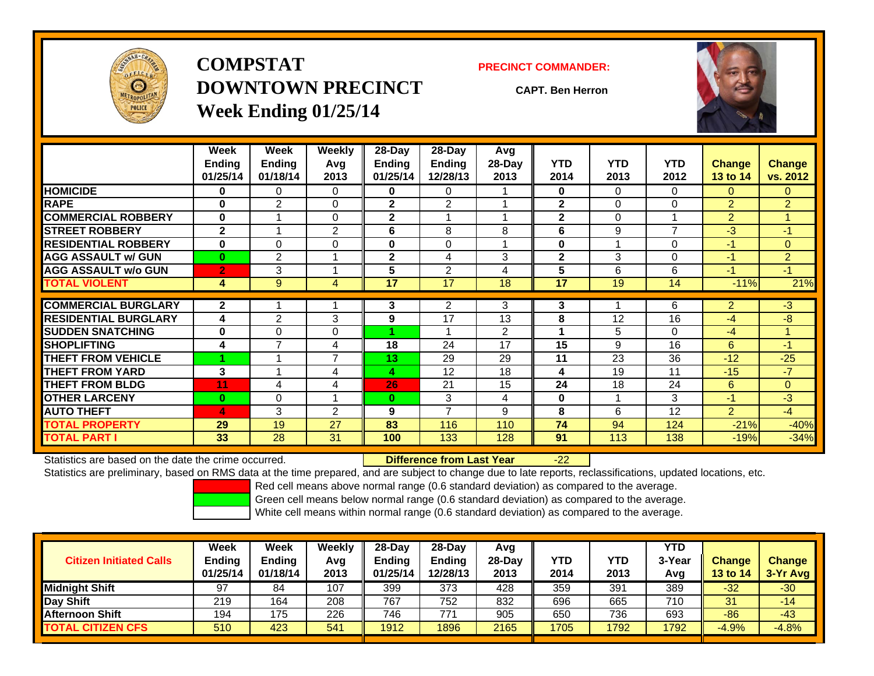

**COMPSTATDOWNTOWN PRECINCTWeek Ending 01/25/14**

#### **PRECINCT COMMANDER:**

**CAPT. Ben Herron**



|                             | Week<br><b>Ending</b><br>01/25/14 | Week<br><b>Ending</b><br>01/18/14 | <b>Weekly</b><br>Avg<br>2013 | 28-Day<br>Ending<br>01/25/14 | $28-Day$<br><b>Ending</b><br>12/28/13 | Avg<br>28-Day<br>2013 | <b>YTD</b><br>2014 | <b>YTD</b><br>2013 | <b>YTD</b><br>2012 | <b>Change</b><br><b>13 to 14</b> | Change<br>vs. 2012 |
|-----------------------------|-----------------------------------|-----------------------------------|------------------------------|------------------------------|---------------------------------------|-----------------------|--------------------|--------------------|--------------------|----------------------------------|--------------------|
| <b>HOMICIDE</b>             | 0                                 | 0                                 | 0                            | 0                            | 0                                     |                       | 0                  | $\Omega$           | 0                  | $\Omega$                         | 0.                 |
| <b>RAPE</b>                 | $\bf{0}$                          | $\mathfrak{p}$                    | $\Omega$                     | $\mathbf{2}$                 | $\overline{2}$                        |                       | $\mathbf{2}$       | $\Omega$           | $\Omega$           | $\overline{2}$                   | $\overline{2}$     |
| <b>COMMERCIAL ROBBERY</b>   | $\bf{0}$                          |                                   | 0                            | $\mathbf{2}$                 |                                       |                       | $\mathbf{2}$       | $\Omega$           |                    | $\overline{2}$                   |                    |
| <b>STREET ROBBERY</b>       | $\mathbf{2}$                      |                                   | $\overline{2}$               | 6                            | 8                                     | 8                     | 6                  | 9                  | $\overline{7}$     | $-3$                             | $-1$               |
| <b>RESIDENTIAL ROBBERY</b>  | $\bf{0}$                          | 0                                 | $\Omega$                     | $\bf{0}$                     | $\Omega$                              |                       | $\bf{0}$           |                    | $\Omega$           | $-1$                             | 0                  |
| <b>AGG ASSAULT w/ GUN</b>   | $\bf{0}$                          | $\overline{2}$                    |                              | $\mathbf 2$                  | 4                                     | 3                     | $\mathbf{2}$       | 3                  | $\Omega$           | $-1$                             | $\overline{2}$     |
| <b>AGG ASSAULT w/o GUN</b>  | $\overline{2}$                    | 3                                 |                              | 5                            | $\overline{2}$                        | 4                     | $5\phantom{.0}$    | 6                  | 6                  | $-1$                             | $-1$               |
| <b>TOTAL VIOLENT</b>        | 4                                 | 9                                 | 4                            | 17                           | 17                                    | 18                    | 17                 | 19                 | 14                 | $-11%$                           | 21%                |
| <b>COMMERCIAL BURGLARY</b>  | $\mathbf{2}$                      |                                   |                              | 3                            | 2                                     | 3                     | 3                  |                    | 6                  | $\overline{2}$                   | $-3$               |
| <b>RESIDENTIAL BURGLARY</b> | 4                                 | $\overline{2}$                    | 3                            | 9                            | 17                                    | 13                    | 8                  | 12                 | 16                 | $-4$                             | $-8$               |
| <b>SUDDEN SNATCHING</b>     | $\bf{0}$                          | 0                                 | $\Omega$                     |                              |                                       | 2                     |                    | 5                  | $\Omega$           | $-4$                             |                    |
| <b>SHOPLIFTING</b>          | 4                                 | 7                                 | 4                            | 18                           | 24                                    | 17                    | 15                 | 9                  | 16                 | 6                                | $-1$               |
| <b>THEFT FROM VEHICLE</b>   |                                   |                                   | 7                            | 13                           | 29                                    | 29                    | 11                 | 23                 | 36                 | $-12$                            | $-25$              |
| <b>THEFT FROM YARD</b>      | 3                                 |                                   | 4                            | 4                            | 12                                    | 18                    | 4                  | 19                 | 11                 | $-15$                            | $-7$               |
| <b>THEFT FROM BLDG</b>      | 11                                | 4                                 | 4                            | 26                           | 21                                    | 15                    | 24                 | 18                 | 24                 | 6                                | $\Omega$           |
| <b>OTHER LARCENY</b>        | $\bf{0}$                          | 0                                 |                              | $\bf{0}$                     | 3                                     | 4                     | $\bf{0}$           |                    | 3                  | $-1$                             | $-3$               |
| <b>AUTO THEFT</b>           | 4                                 | 3                                 | $\overline{2}$               | 9                            | $\overline{7}$                        | 9                     | 8                  | 6                  | 12                 | $\overline{2}$                   | $-4$               |
| <b>TOTAL PROPERTY</b>       | 29                                | 19                                | 27                           | 83                           | 116                                   | 110                   | 74                 | 94                 | 124                | $-21%$                           | $-40%$             |
| <b>TOTAL PART I</b>         | 33                                | 28                                | 31                           | 100                          | 133                                   | 128                   | 91                 | 113                | 138                | $-19%$                           | $-34%$             |

Statistics are based on the date the crime occurred. **Difference from Last Year** 

#### r - 22

Statistics are preliminary, based on RMS data at the time prepared, and are subject to change due to late reports, reclassifications, updated locations, etc.

Red cell means above normal range (0.6 standard deviation) as compared to the average.

Green cell means below normal range (0.6 standard deviation) as compared to the average.

| <b>Citizen Initiated Calls</b> | Week<br><b>Ending</b><br>01/25/14 | Week<br><b>Ending</b><br>01/18/14 | Weekly<br>Avg<br>2013 | $28-Day$<br><b>Ending</b><br>01/25/14 | 28-Day<br><b>Ending</b><br>12/28/13 | Avg<br>28-Dav<br>2013 | YTD<br>2014 | <b>YTD</b><br>2013 | <b>YTD</b><br>3-Year<br>Avg | <b>Change</b><br><b>13 to 14</b> | <b>Change</b><br>$3-Yr$ Avg |
|--------------------------------|-----------------------------------|-----------------------------------|-----------------------|---------------------------------------|-------------------------------------|-----------------------|-------------|--------------------|-----------------------------|----------------------------------|-----------------------------|
| <b>Midnight Shift</b>          | 97                                | 84                                | 107                   | 399                                   | 373                                 | 428                   | 359         | 391                | 389                         | $-32$                            | $-30$                       |
| Day Shift                      | 219                               | 164                               | 208                   | 767                                   | 752                                 | 832                   | 696         | 665                | 710                         | 31                               | -14                         |
| <b>Afternoon Shift</b>         | 194                               | 175                               | 226                   | 746                                   | 771                                 | 905                   | 650         | 736                | 693                         | $-86$                            | $-43$                       |
| <b>TOTAL CITIZEN CFS</b>       | 510                               | 423                               | 541                   | 1912                                  | 1896                                | 2165                  | 1705        | 1792               | 1792                        | $-4.9%$                          | $-4.8%$                     |
|                                |                                   |                                   |                       |                                       |                                     |                       |             |                    |                             |                                  |                             |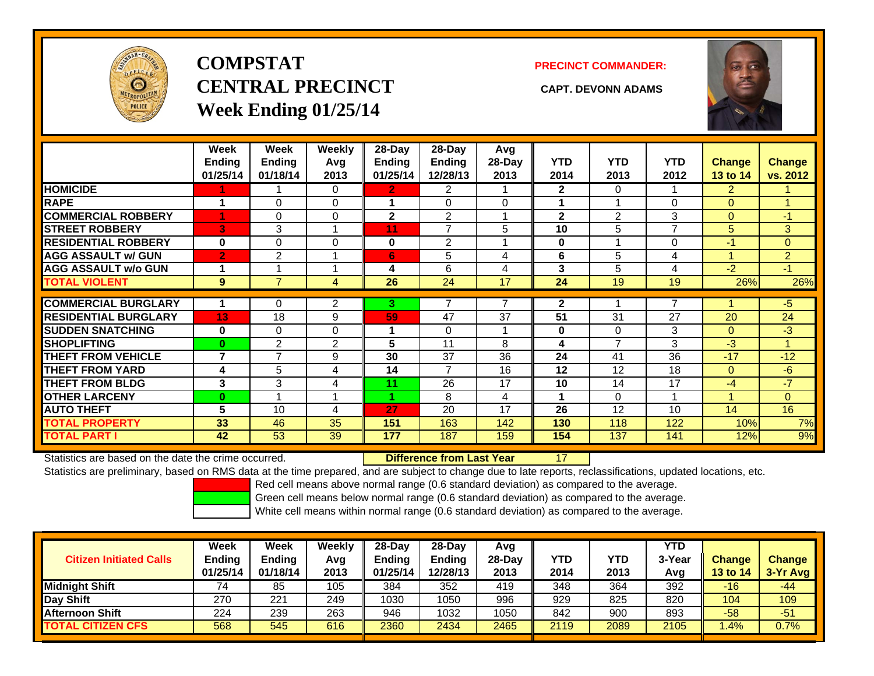

# **COMPSTATCENTRAL PRECINCT CAPT. DEVONN ADAMSWeek Ending 01/25/14**

#### **PRECINCT COMMANDER:**



|                             | Week<br>Ending<br>01/25/14 | Week<br><b>Ending</b><br>01/18/14 | Weekly<br>Avg<br>2013 | 28-Day<br><b>Ending</b><br>01/25/14 | 28-Day<br>Ending<br>12/28/13 | Avg<br>28-Day<br>2013 | <b>YTD</b><br>2014 | <b>YTD</b><br>2013 | <b>YTD</b><br>2012 | <b>Change</b><br>13 to 14 | <b>Change</b><br>vs. 2012 |
|-----------------------------|----------------------------|-----------------------------------|-----------------------|-------------------------------------|------------------------------|-----------------------|--------------------|--------------------|--------------------|---------------------------|---------------------------|
| <b>HOMICIDE</b>             |                            |                                   | 0                     | 2.                                  | 2                            |                       | $\mathbf{2}$       | $\Omega$           |                    | $\overline{2}$            |                           |
| <b>RAPE</b>                 | 4                          | 0                                 | 0                     |                                     | $\Omega$                     | $\Omega$              |                    |                    | $\Omega$           | $\Omega$                  |                           |
| <b>COMMERCIAL ROBBERY</b>   |                            | 0                                 | 0                     | $\mathbf{2}$                        | $\overline{2}$               | $\overline{ }$        | $\mathbf{2}$       | $\overline{2}$     | 3                  | $\mathbf{0}$              | $-1$                      |
| <b>STREET ROBBERY</b>       | 3                          | 3                                 |                       | 11                                  | $\overline{ }$               | 5                     | 10                 | 5                  | $\overline{7}$     | 5                         | 3                         |
| <b>RESIDENTIAL ROBBERY</b>  | $\bf{0}$                   | 0                                 | 0                     | $\bf{0}$                            | 2                            |                       | $\bf{0}$           |                    | 0                  | $-1$                      | $\overline{0}$            |
| <b>AGG ASSAULT w/ GUN</b>   | $\overline{2}$             | 2                                 |                       | 6                                   | 5                            | 4                     | 6                  | 5                  | 4                  | и                         | 2 <sup>1</sup>            |
| <b>AGG ASSAULT w/o GUN</b>  |                            |                                   |                       | 4                                   | 6                            | 4                     | 3                  | 5                  | 4                  | $-2$                      | -1                        |
| <b>TOTAL VIOLENT</b>        | 9                          | $\overline{7}$                    | 4                     | 26                                  | 24                           | 17                    | 24                 | 19                 | 19                 | 26%                       | 26%                       |
|                             |                            |                                   |                       |                                     |                              |                       |                    |                    |                    |                           |                           |
| <b>COMMERCIAL BURGLARY</b>  |                            | 0                                 | $\overline{2}$        | 3.                                  |                              |                       | $\mathbf{2}$       |                    |                    |                           | $-5$                      |
| <b>RESIDENTIAL BURGLARY</b> | 13                         | 18                                | 9                     | 59                                  | 47                           | 37                    | 51                 | 31                 | 27                 | 20                        | 24                        |
| <b>SUDDEN SNATCHING</b>     | $\bf{0}$                   | 0                                 | 0                     |                                     | $\Omega$                     |                       | 0                  | $\Omega$           | 3                  | $\mathbf{0}$              | $-3$                      |
| <b>SHOPLIFTING</b>          | $\mathbf{0}$               | $\overline{2}$                    | 2                     | 5                                   | 11                           | 8                     | 4                  | $\overline{ }$     | 3                  | $-3$                      |                           |
| <b>THEFT FROM VEHICLE</b>   | 7                          | $\overline{7}$                    | 9                     | 30                                  | 37                           | 36                    | 24                 | 41                 | 36                 | $-17$                     | $-12$                     |
| <b>THEFT FROM YARD</b>      | 4                          | 5                                 | 4                     | 14                                  | $\overline{7}$               | 16                    | 12                 | 12                 | 18                 | $\Omega$                  | -6                        |
| <b>THEFT FROM BLDG</b>      | 3                          | 3                                 | 4                     | 11                                  | 26                           | 17                    | 10                 | 14                 | 17                 | $-4$                      | $-7$                      |
| <b>OTHER LARCENY</b>        | $\bf{0}$                   |                                   |                       | 4.                                  | 8                            | 4                     | 4                  | $\Omega$           |                    | и                         | $\overline{0}$            |
| <b>AUTO THEFT</b>           | 5                          | 10                                | 4                     | 27                                  | 20                           | 17                    | 26                 | 12                 | 10                 | 14                        | 16                        |
| <b>TOTAL PROPERTY</b>       | 33                         | 46                                | 35                    | 151                                 | 163                          | 142                   | 130                | 118                | 122                | 10%                       | 7%                        |
| TOTAL PART I                | 42                         | 53                                | 39                    | 177                                 | 187                          | 159                   | 154                | 137                | 141                | 12%                       | 9%                        |

Statistics are based on the date the crime occurred. **Difference from Last Year** 

17

Statistics are preliminary, based on RMS data at the time prepared, and are subject to change due to late reports, reclassifications, updated locations, etc.

Red cell means above normal range (0.6 standard deviation) as compared to the average.

Green cell means below normal range (0.6 standard deviation) as compared to the average.

| <b>Citizen Initiated Calls</b> | <b>Week</b><br><b>Ending</b><br>01/25/14 | Week<br>Ending<br>01/18/14 | Weekly<br>Avg<br>2013 | $28-Dav$<br><b>Ending</b><br>01/25/14 | 28-Day<br><b>Ending</b><br>12/28/13 | Avg<br>$28-Dav$<br>2013 | <b>YTD</b><br>2014 | <b>YTD</b><br>2013 | YTD<br>3-Year<br>Avg | <b>Change</b><br><b>13 to 14</b> | <b>Change</b><br>$3-Yr$ Avg |
|--------------------------------|------------------------------------------|----------------------------|-----------------------|---------------------------------------|-------------------------------------|-------------------------|--------------------|--------------------|----------------------|----------------------------------|-----------------------------|
| <b>Midnight Shift</b>          |                                          | 85                         | 105                   | 384                                   | 352                                 | 419                     | 348                | 364                | 392                  | $-16$                            | -44                         |
| Day Shift                      | 270                                      | 221                        | 249                   | 1030                                  | 1050                                | 996                     | 929                | 825                | 820                  | 104                              | 109                         |
| <b>Afternoon Shift</b>         | 224                                      | 239                        | 263                   | 946                                   | 1032                                | 1050                    | 842                | 900                | 893                  | $-58$                            | $-51$                       |
| <b>TOTAL CITIZEN CFS</b>       | 568                                      | 545                        | 616                   | 2360                                  | 2434                                | 2465                    | 2119               | 2089               | 2105                 | .4%                              | 0.7%                        |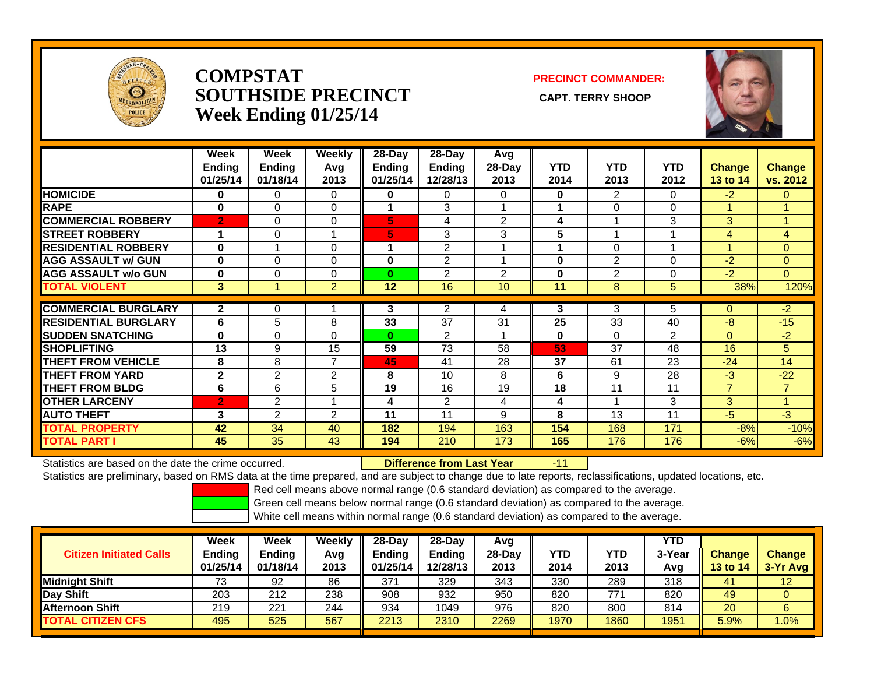

### **COMPSTATSOUTHSIDE PRECINCT** CAPT. TERRY SHOOP **Week Ending 01/25/14**

**PRECINCT COMMANDER:**



|                             | Week<br><b>Ending</b><br>01/25/14 | Week<br><b>Ending</b><br>01/18/14 | Weekly<br>Avg<br>2013 | $28$ -Day<br><b>Ending</b><br>01/25/14 | $28$ -Day<br><b>Ending</b><br>12/28/13 | Avg<br>28-Day<br>2013 | <b>YTD</b><br>2014 | <b>YTD</b><br>2013 | <b>YTD</b><br>2012 | <b>Change</b><br>13 to 14 | <b>Change</b><br>vs. 2012 |
|-----------------------------|-----------------------------------|-----------------------------------|-----------------------|----------------------------------------|----------------------------------------|-----------------------|--------------------|--------------------|--------------------|---------------------------|---------------------------|
| <b>HOMICIDE</b>             | 0                                 | 0                                 | 0                     | 0                                      | 0                                      | $\Omega$              | 0                  | $\overline{2}$     | 0                  | $-2$                      | $\Omega$                  |
| <b>RAPE</b>                 | $\bf{0}$                          | 0                                 | 0                     | 4                                      | 3                                      |                       |                    | 0                  | 0                  | 4                         | 4                         |
| <b>COMMERCIAL ROBBERY</b>   | $\overline{2}$                    | 0                                 | 0                     | 5                                      | 4                                      | 2                     | 4                  |                    | 3                  | 3                         | 4                         |
| <b>STREET ROBBERY</b>       | 1                                 | 0                                 |                       | 5                                      | 3                                      | 3                     | 5                  |                    |                    | 4                         | $\overline{4}$            |
| <b>RESIDENTIAL ROBBERY</b>  | 0                                 |                                   | 0                     |                                        | $\overline{2}$                         |                       |                    | $\Omega$           |                    |                           | 0                         |
| <b>AGG ASSAULT w/ GUN</b>   | $\bf{0}$                          | 0                                 | 0                     | $\bf{0}$                               | 2                                      |                       | $\bf{0}$           | 2                  | 0                  | $-2$                      | $\overline{0}$            |
| <b>AGG ASSAULT w/o GUN</b>  | $\bf{0}$                          | 0                                 | 0                     | $\mathbf{0}$                           | $\overline{2}$                         | $\overline{2}$        | $\bf{0}$           | $\overline{2}$     | 0                  | $-2$                      | $\Omega$                  |
| <b>TOTAL VIOLENT</b>        | 3                                 |                                   | $\overline{2}$        | 12                                     | 16                                     | 10                    | 11                 | 8                  | 5                  | 38%                       | 120%                      |
|                             |                                   |                                   |                       |                                        |                                        |                       |                    |                    |                    |                           |                           |
| <b>COMMERCIAL BURGLARY</b>  | 2                                 | 0                                 |                       | 3                                      | 2                                      | 4                     | 3                  | 3                  | 5                  | $\Omega$                  | $-2$                      |
| <b>RESIDENTIAL BURGLARY</b> | 6                                 | 5                                 | 8                     | 33                                     | 37                                     | 31                    | 25                 | 33                 | 40                 | $-8$                      | $-15$                     |
| <b>SUDDEN SNATCHING</b>     | 0                                 | 0                                 | $\Omega$              | $\bf{0}$                               | $\overline{2}$                         |                       | $\bf{0}$           | $\Omega$           | $\overline{2}$     | $\Omega$                  | $-2$                      |
| <b>SHOPLIFTING</b>          | 13                                | 9                                 | 15                    | 59                                     | 73                                     | 58                    | 53                 | 37                 | 48                 | 16                        | 5                         |
| <b>THEFT FROM VEHICLE</b>   | 8                                 | 8                                 | $\overline{7}$        | 45                                     | 41                                     | 28                    | 37                 | 61                 | 23                 | $-24$                     | 14                        |
| <b>THEFT FROM YARD</b>      | $\mathbf{2}$                      | $\overline{2}$                    | 2                     | 8                                      | 10                                     | 8                     | 6                  | 9                  | 28                 | $-3$                      | $-22$                     |
| <b>THEFT FROM BLDG</b>      | 6                                 | 6                                 | 5                     | 19                                     | 16                                     | 19                    | 18                 | 11                 | 11                 | $\overline{7}$            | $\overline{7}$            |
| <b>OTHER LARCENY</b>        | $\overline{2}$                    | 2                                 |                       | 4                                      | $\overline{2}$                         | 4                     | 4                  |                    | 3                  | 3                         |                           |
| <b>AUTO THEFT</b>           | 3                                 | $\overline{2}$                    | $\overline{2}$        | 11                                     | 11                                     | 9                     | 8                  | 13                 | 11                 | $-5$                      | $-3$                      |
| <b>TOTAL PROPERTY</b>       | 42                                | 34                                | 40                    | 182                                    | 194                                    | 163                   | 154                | 168                | 171                | $-8%$                     | $-10%$                    |
| <b>TOTAL PART I</b>         | 45                                | 35                                | 43                    | 194                                    | 210                                    | 173                   | 165                | 176                | 176                | $-6%$                     | $-6%$                     |

Statistics are based on the date the crime occurred. **Difference from Last Year** 

-11

Statistics are preliminary, based on RMS data at the time prepared, and are subject to change due to late reports, reclassifications, updated locations, etc.

Red cell means above normal range (0.6 standard deviation) as compared to the average.

Green cell means below normal range (0.6 standard deviation) as compared to the average.

| <b>Citizen Initiated Calls</b> | Week<br>Ending<br>01/25/14 | <b>Week</b><br><b>Endina</b><br>01/18/14 | Weekly<br>Avg<br>2013 | $28-Day$<br><b>Ending</b><br>01/25/14 | $28$ -Day<br><b>Ending</b><br>12/28/13 | Avg<br>$28-Dav$<br>2013 | YTD<br>2014 | YTD<br>2013 | <b>YTD</b><br>3-Year<br>Avg | <b>Change</b><br>13 to 14 | <b>Change</b><br>3-Yr Avg |
|--------------------------------|----------------------------|------------------------------------------|-----------------------|---------------------------------------|----------------------------------------|-------------------------|-------------|-------------|-----------------------------|---------------------------|---------------------------|
| <b>Midnight Shift</b>          | 73                         | 92                                       | 86                    | 371                                   | 329                                    | 343                     | 330         | 289         | 318                         | 41                        | 12                        |
| Day Shift                      | 203                        | 212                                      | 238                   | 908                                   | 932                                    | 950                     | 820         | 771         | 820                         | 49                        |                           |
| <b>Afternoon Shift</b>         | 219                        | 221                                      | 244                   | 934                                   | 1049                                   | 976                     | 820         | 800         | 814                         | 20                        | 6                         |
| <b>TOTAL CITIZEN CFS</b>       | 495                        | 525                                      | 567                   | 2213                                  | 2310                                   | 2269                    | 1970        | 1860        | 1951                        | 5.9%                      | .0%                       |